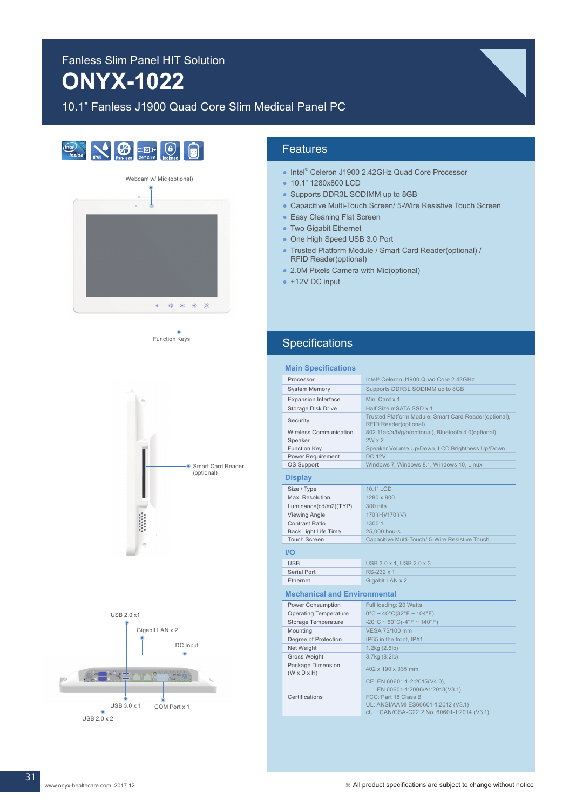# Fanless Slim Panel HIT Solution **ONYX-1022**

# 10.1" Fanless J1900 Quad Core Slim Medical Panel PC









## Features

- Intel<sup>®</sup> Celeron J1900 2.42GHz Quad Core Processor
- 10.1" 1280x800 LCD
- Supports DDR3L SODIMM up to 8GB
- Capacitive Multi-Touch Screen/ 5-Wire Resistive Touch Screen
- Easy Cleaning Flat Screen
- Two Gigabit Ethernet
- One High Speed USB 3.0 Port
- Trusted Platform Module / Smart Card Reader(optional) / RFID Reader(optional)
- 2.0M Pixels Camera with Mic(optional)
- $\bullet$  +12V DC input

# **Specifications**

| <b>Main Specifications</b>                   |                                                                                                                                                                            |
|----------------------------------------------|----------------------------------------------------------------------------------------------------------------------------------------------------------------------------|
| Processor                                    | Intel <sup>®</sup> Celeron J1900 Quad Core 2.42GHz                                                                                                                         |
| <b>System Memory</b>                         | Supports DDR3L SODIMM up to 8GB                                                                                                                                            |
| <b>Expansion Interface</b>                   | Mini Card x 1                                                                                                                                                              |
| Storage Disk Drive                           | Half Size mSATA SSD x 1                                                                                                                                                    |
| Security                                     | Trusted Platform Module, Smart Card Reader(optional),<br><b>RFID Reader(optional)</b>                                                                                      |
| <b>Wireless Communication</b>                | 802.11ac/a/b/g/n(optional), Bluetooth 4.0(optional)                                                                                                                        |
| Speaker                                      | $2W \times 2$                                                                                                                                                              |
| <b>Function Key</b>                          | Speaker Volume Up/Down, LCD Brightness Up/Down                                                                                                                             |
| Power Requirement                            | <b>DC 12V</b>                                                                                                                                                              |
| OS Support                                   | Windows 7, Windows 8.1, Windows 10, Linux                                                                                                                                  |
| <b>Display</b>                               |                                                                                                                                                                            |
| Size / Type                                  | 10.1" LCD                                                                                                                                                                  |
| Max. Resolution                              | 1280 x 800                                                                                                                                                                 |
| Luminance(cd/m2)(TYP)                        | 300 nits                                                                                                                                                                   |
| Viewing Angle                                | 170°(H)/170°(V)                                                                                                                                                            |
| <b>Contrast Ratio</b>                        | 1300:1                                                                                                                                                                     |
| <b>Back Light Life Time</b>                  | 25,000 hours                                                                                                                                                               |
| <b>Touch Screen</b>                          | Capacitive Multi-Touch/ 5-Wire Resistive Touch                                                                                                                             |
|                                              |                                                                                                                                                                            |
| IO                                           |                                                                                                                                                                            |
| <b>USB</b>                                   | USB 3.0 x 1, USB 2.0 x 3                                                                                                                                                   |
| Serial Port                                  | RS-232 x 1                                                                                                                                                                 |
| <b>Ethernet</b>                              | Gigabit LAN x 2                                                                                                                                                            |
| <b>Mechanical and Environmental</b>          |                                                                                                                                                                            |
| Power Consumption                            | Full loading: 20 Watts                                                                                                                                                     |
| <b>Operating Temperature</b>                 | $0^{\circ}$ C ~ 40 $^{\circ}$ C(32 $^{\circ}$ F ~ 104 $^{\circ}$ F)                                                                                                        |
| Storage Temperature                          | $-20^{\circ}$ C ~ 60 $^{\circ}$ C( $-4^{\circ}$ F ~ 140 $^{\circ}$ F)                                                                                                      |
| Mounting                                     | <b>VESA 75/100 mm</b>                                                                                                                                                      |
| Degree of Protection                         | IP65 in the front, IPX1                                                                                                                                                    |
| Net Weight                                   | 1.2kg (2.6lb)                                                                                                                                                              |
| <b>Gross Weight</b>                          | 3.7kg (8.2lb)                                                                                                                                                              |
| Package Dimension<br>$(W \times D \times H)$ | 402 x 190 x 335 mm                                                                                                                                                         |
| Certifications                               | CE: EN 60601-1-2:2015(V4.0),<br>EN 60601-1:2006/A1:2013(V3.1)<br>FCC: Part 18 Class B<br>UL: ANSI/AAMI ES60601-1:2012 (V3.1)<br>cUL: CAN/CSA-C22.2 No. 60601-1:2014 (V3.1) |

31